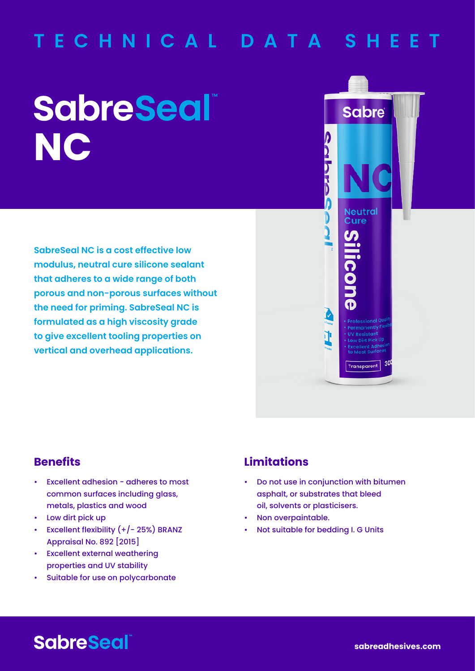# **TECHNICAL DATA SHEET**

# **SabreSeal NC**

**SabreSeal NC is a cost effective low modulus, neutral cure silicone sealant that adheres to a wide range of both porous and non-porous surfaces without the need for priming. SabreSeal NC is formulated as a high viscosity grade to give excellent tooling properties on vertical and overhead applications.**



## **Benefits**

- Excellent adhesion adheres to most common surfaces including glass, metals, plastics and wood
- Low dirt pick up
- Excellent flexibility (+/- 25%) BRANZ Appraisal No. 892 [2015]
- Excellent external weathering properties and UV stability
- Suitable for use on polycarbonate

### **Limitations**

- Do not use in conjunction with bitumen asphalt, or substrates that bleed oil, solvents or plasticisers.
- Non overpaintable.
- Not suitable for bedding I. G Units

# **SabreSeal**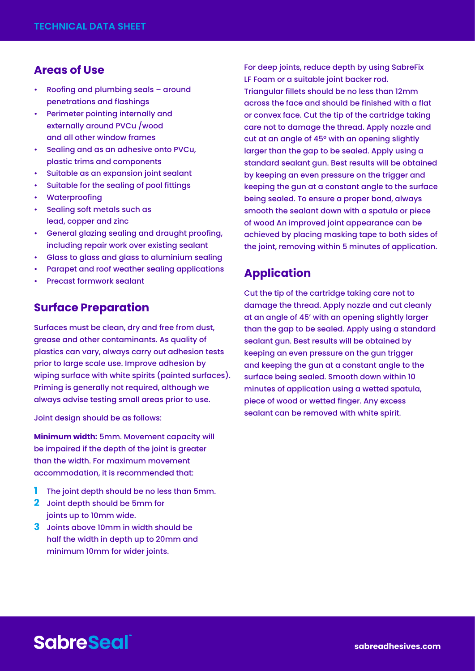#### **Areas of Use**

- Roofing and plumbing seals around penetrations and flashings
- Perimeter pointing internally and externally around PVCu /wood and all other window frames
- Sealing and as an adhesive onto PVCu, plastic trims and components
- Suitable as an expansion joint sealant
- Suitable for the sealing of pool fittings
- **Waterproofing**
- Sealing soft metals such as lead, copper and zinc
- General glazing sealing and draught proofing, including repair work over existing sealant
- Glass to glass and glass to aluminium sealing
- Parapet and roof weather sealing applications
- Precast formwork sealant

#### **Surface Preparation**

Surfaces must be clean, dry and free from dust, grease and other contaminants. As quality of plastics can vary, always carry out adhesion tests prior to large scale use. Improve adhesion by wiping surface with white spirits (painted surfaces). Priming is generally not required, although we always advise testing small areas prior to use.

Joint design should be as follows:

**Minimum width:** 5mm. Movement capacity will be impaired if the depth of the joint is greater than the width. For maximum movement accommodation, it is recommended that:

- **1** The joint depth should be no less than 5mm.
- **2** Joint depth should be 5mm for joints up to 10mm wide.
- **3** Joints above 10mm in width should be half the width in depth up to 20mm and minimum 10mm for wider joints.

For deep joints, reduce depth by using SabreFix LF Foam or a suitable joint backer rod. Triangular fillets should be no less than 12mm across the face and should be finished with a flat or convex face. Cut the tip of the cartridge taking care not to damage the thread. Apply nozzle and cut at an angle of 45° with an opening slightly larger than the gap to be sealed. Apply using a standard sealant gun. Best results will be obtained by keeping an even pressure on the trigger and keeping the gun at a constant angle to the surface being sealed. To ensure a proper bond, always smooth the sealant down with a spatula or piece of wood An improved joint appearance can be achieved by placing masking tape to both sides of the joint, removing within 5 minutes of application.

#### **Application**

Cut the tip of the cartridge taking care not to damage the thread. Apply nozzle and cut cleanly at an angle of 45' with an opening slightly larger than the gap to be sealed. Apply using a standard sealant gun. Best results will be obtained by keeping an even pressure on the gun trigger and keeping the gun at a constant angle to the surface being sealed. Smooth down within 10 minutes of application using a wetted spatula, piece of wood or wetted finger. Any excess sealant can be removed with white spirit.

# **SabreSeal**